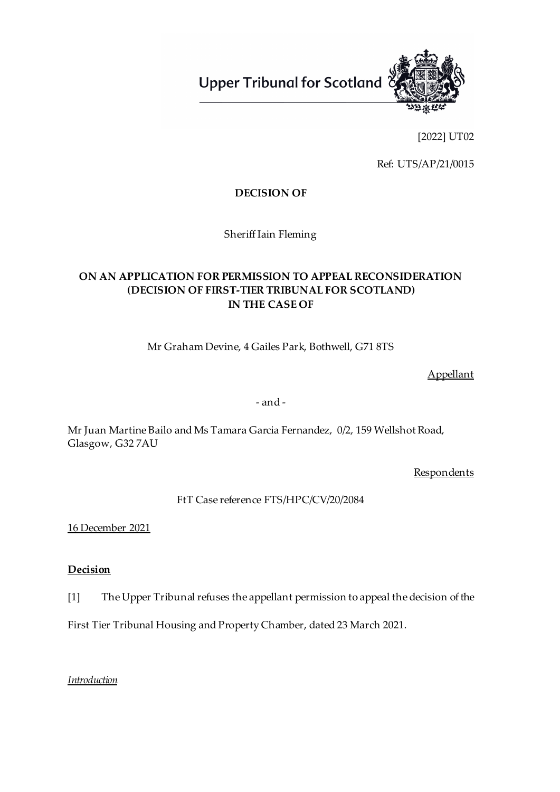**Upper Tribunal for Scotland** 



[2022] UT02

Ref: UTS/AP/21/0015

# **DECISION OF**

Sheriff Iain Fleming

# **ON AN APPLICATION FOR PERMISSION TO APPEAL RECONSIDERATION (DECISION OF FIRST-TIER TRIBUNAL FOR SCOTLAND) IN THE CASE OF**

Mr Graham Devine, 4 Gailes Park, Bothwell, G71 8TS

Appellant

- and -

Mr Juan Martine Bailo and Ms Tamara Garcia Fernandez, 0/2, 159 Wellshot Road, Glasgow, G32 7AU

**Respondents** 

FtT Case reference FTS/HPC/CV/20/2084

16 December 2021

# **Decision**

[1] The Upper Tribunal refuses the appellant permission to appeal the decision of the

First Tier Tribunal Housing and Property Chamber, dated 23 March 2021.

# *Introduction*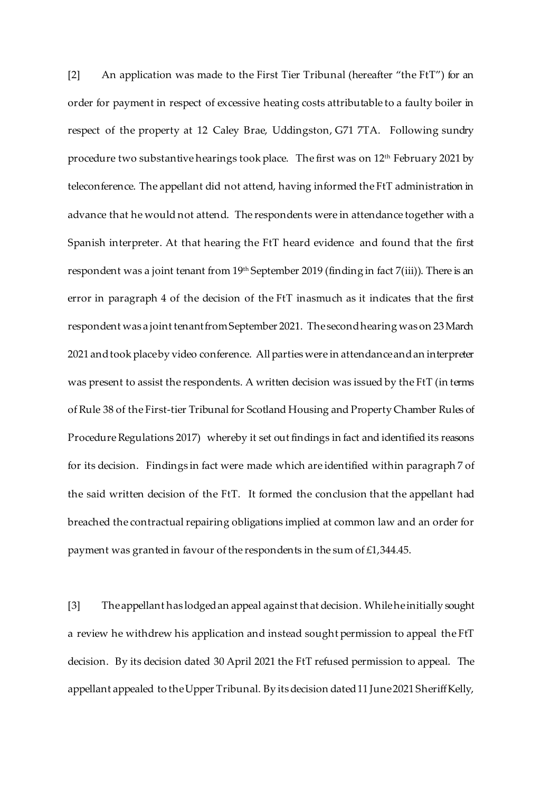[2] An application was made to the First Tier Tribunal (hereafter "the FtT") for an order for payment in respect of excessive heating costs attributable to a faulty boiler in respect of the property at 12 Caley Brae, Uddingston, G71 7TA. Following sundry procedure two substantive hearings took place. The first was on 12<sup>th</sup> February 2021 by teleconference. The appellant did not attend, having informed the FtT administration in advance that he would not attend. The respondents were in attendance together with a Spanish interpreter. At that hearing the FtT heard evidence and found that the first respondent was a joint tenant from 19<sup>th</sup> September 2019 (finding in fact 7(iii)). There is an error in paragraph 4 of the decision of the FtT inasmuch as it indicates that the first respondent was a joint tenant fromSeptember 2021. The second hearing was on 23 March 2021 and took place by video conference. All parties were in attendanceandan interpreter was present to assist the respondents. A written decision was issued by the FtT (in terms of Rule 38 of the First-tier Tribunal for Scotland Housing and Property Chamber Rules of Procedure Regulations 2017) whereby it set out findings in fact and identified its reasons for its decision. Findings in fact were made which are identified within paragraph 7 of the said written decision of the FtT. It formed the conclusion that the appellant had breached the contractual repairing obligations implied at common law and an order for payment was granted in favour of the respondents in the sum of £1,344.45.

[3] The appellant has lodged an appeal against that decision. While heinitially sought a review he withdrew his application and instead sought permission to appeal the FtT decision. By its decision dated 30 April 2021 the FtT refused permission to appeal. The appellant appealed to the Upper Tribunal. By its decision dated 11 June 2021 Sheriff Kelly,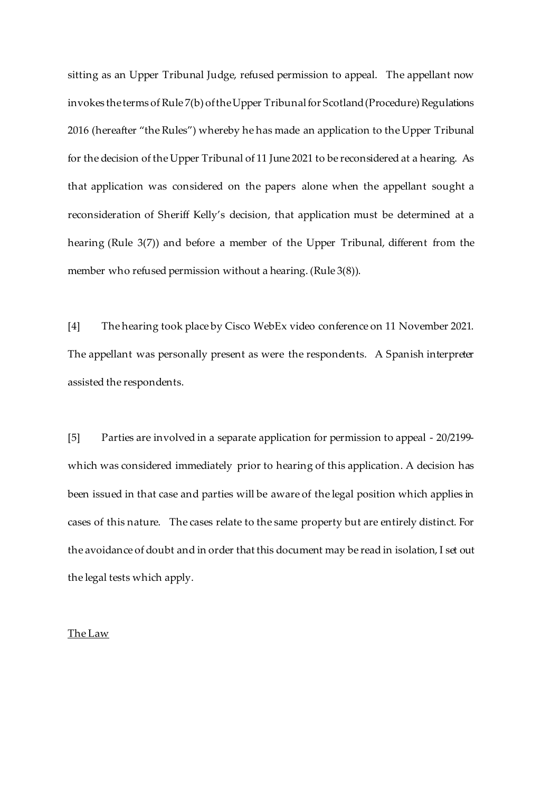sitting as an Upper Tribunal Judge, refused permission to appeal. The appellant now invokes the terms of Rule 7(b) of the Upper Tribunal for Scotland (Procedure) Regulations 2016 (hereafter "the Rules") whereby he has made an application to the Upper Tribunal for the decision of the Upper Tribunal of 11 June 2021 to be reconsidered at a hearing. As that application was considered on the papers alone when the appellant sought a reconsideration of Sheriff Kelly's decision, that application must be determined at a hearing (Rule 3(7)) and before a member of the Upper Tribunal, different from the member who refused permission without a hearing. (Rule 3(8)).

[4] The hearing took place by Cisco WebEx video conference on 11 November 2021. The appellant was personally present as were the respondents. A Spanish interpreter assisted the respondents.

[5] Parties are involved in a separate application for permission to appeal - 20/2199 which was considered immediately prior to hearing of this application. A decision has been issued in that case and parties will be aware of the legal position which applies in cases of this nature. The cases relate to the same property but are entirely distinct. For the avoidance of doubt and in order that this document may be read in isolation, I set out the legal tests which apply.

### The Law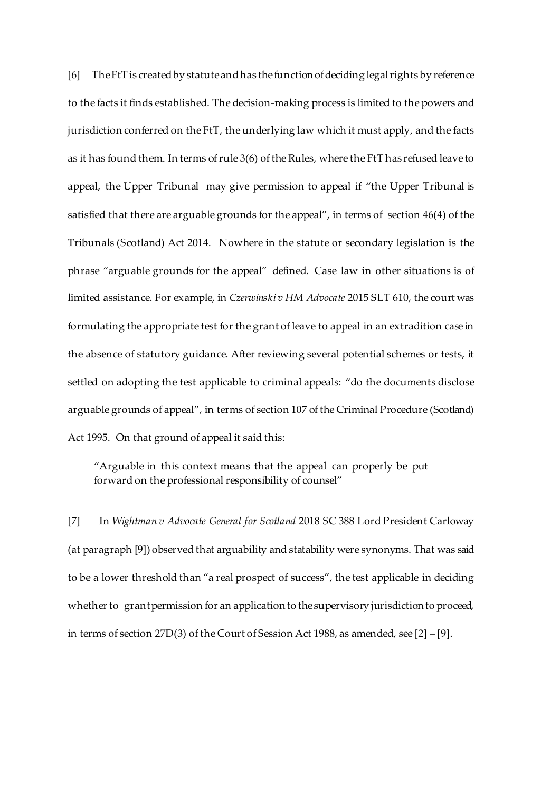[6] The FtT is created by statute and has the function of deciding legal rights by reference to the facts it finds established. The decision-making process is limited to the powers and jurisdiction conferred on the FtT, the underlying law which it must apply, and the facts as it has found them. In terms of rule 3(6) of the Rules, where the FtT has refused leave to appeal, the Upper Tribunal may give permission to appeal if "the Upper Tribunal is satisfied that there are arguable grounds for the appeal", in terms of section 46(4) of the Tribunals (Scotland) Act 2014. Nowhere in the statute or secondary legislation is the phrase "arguable grounds for the appeal" defined. Case law in other situations is of limited assistance. For example, in *Czerwinski v HM Advocate* 2015 SLT 610, the court was formulating the appropriate test for the grant of leave to appeal in an extradition case in the absence of statutory guidance. After reviewing several potential schemes or tests, it settled on adopting the test applicable to criminal appeals: "do the documents disclose arguable grounds of appeal", in terms of section 107 of the Criminal Procedure (Scotland) Act 1995. On that ground of appeal it said this:

"Arguable in this context means that the appeal can properly be put forward on the professional responsibility of counsel"

[7] In *Wightman v Advocate General for Scotland* 2018 SC 388 Lord President Carloway (at paragraph [9]) observed that arguability and statability were synonyms. That was said to be a lower threshold than "a real prospect of success", the test applicable in deciding whether to grant permission for an application to the supervisory jurisdiction to proceed, in terms of section 27D(3) of the Court of Session Act 1988, as amended, see [2] – [9].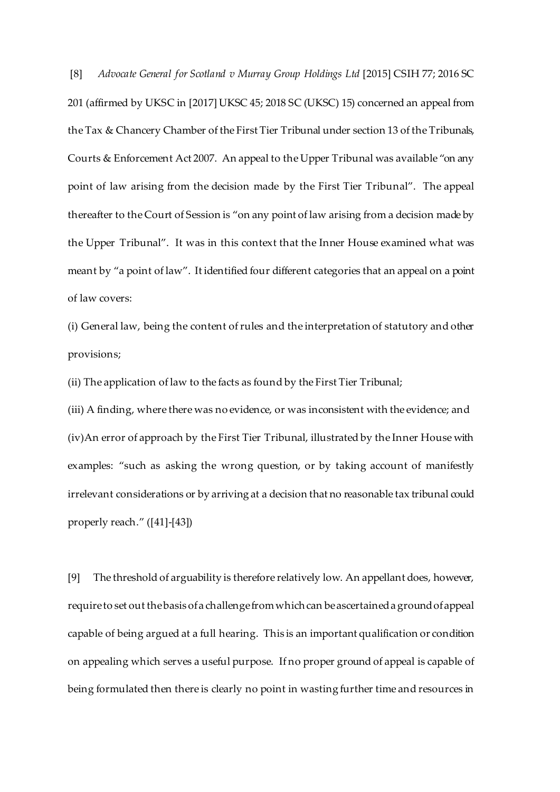[8] *Advocate General for Scotland v Murray Group Holdings Ltd* [2015] CSIH 77; 2016 SC 201 (affirmed by UKSC in [2017] UKSC 45; 2018 SC (UKSC) 15) concerned an appeal from the Tax & Chancery Chamber of the First Tier Tribunal under section 13 of the Tribunals, Courts & Enforcement Act 2007. An appeal to the Upper Tribunal was available "on any point of law arising from the decision made by the First Tier Tribunal". The appeal thereafter to the Court of Session is "on any point of law arising from a decision made by the Upper Tribunal". It was in this context that the Inner House examined what was meant by "a point of law". It identified four different categories that an appeal on a point of law covers:

(i) General law, being the content of rules and the interpretation of statutory and other provisions;

(ii) The application of law to the facts as found by the First Tier Tribunal;

(iii) A finding, where there was no evidence, or was inconsistent with the evidence; and (iv)An error of approach by the First Tier Tribunal, illustrated by the Inner House with examples: "such as asking the wrong question, or by taking account of manifestly irrelevant considerations or by arriving at a decision that no reasonable tax tribunal could properly reach." ([41]-[43])

[9] The threshold of arguability is therefore relatively low. An appellant does, however, require to set out the basis of a challenge from which can be ascertained a ground of appeal capable of being argued at a full hearing. This is an important qualification or condition on appealing which serves a useful purpose. If no proper ground of appeal is capable of being formulated then there is clearly no point in wasting further time and resources in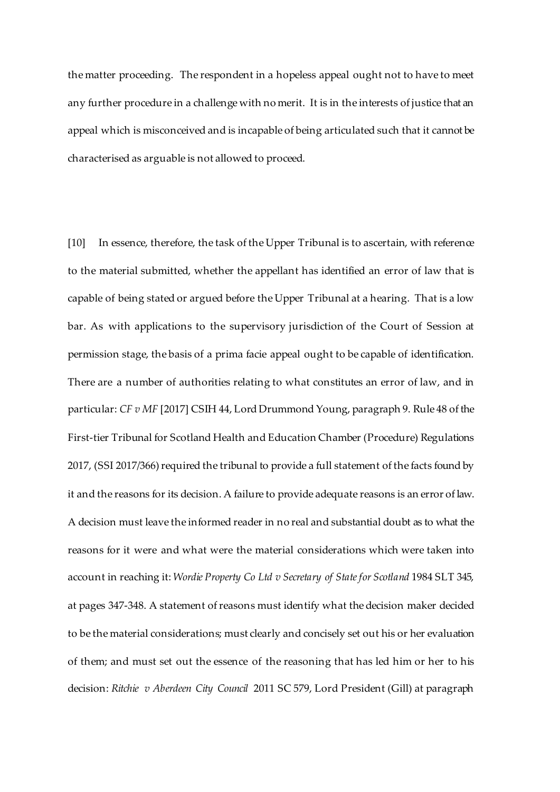the matter proceeding. The respondent in a hopeless appeal ought not to have to meet any further procedure in a challenge with no merit. It is in the interests of justice that an appeal which is misconceived and is incapable of being articulated such that it cannot be characterised as arguable is not allowed to proceed.

[10] In essence, therefore, the task of the Upper Tribunal is to ascertain, with reference to the material submitted, whether the appellant has identified an error of law that is capable of being stated or argued before the Upper Tribunal at a hearing. That is a low bar. As with applications to the supervisory jurisdiction of the Court of Session at permission stage, the basis of a prima facie appeal ought to be capable of identification. There are a number of authorities relating to what constitutes an error of law, and in particular: *CF v MF* [2017] CSIH 44, Lord Drummond Young, paragraph 9. Rule 48 of the First-tier Tribunal for Scotland Health and Education Chamber (Procedure) Regulations 2017, (SSI 2017/366) required the tribunal to provide a full statement of the facts found by it and the reasons for its decision. A failure to provide adequate reasons is an error of law. A decision must leave the informed reader in no real and substantial doubt as to what the reasons for it were and what were the material considerations which were taken into account in reaching it: *Wordie Property Co Ltd v Secretary of State for Scotland* 1984 SLT 345, at pages 347-348. A statement of reasons must identify what the decision maker decided to be the material considerations; must clearly and concisely set out his or her evaluation of them; and must set out the essence of the reasoning that has led him or her to his decision: *Ritchie v Aberdeen City Council* 2011 SC 579, Lord President (Gill) at paragraph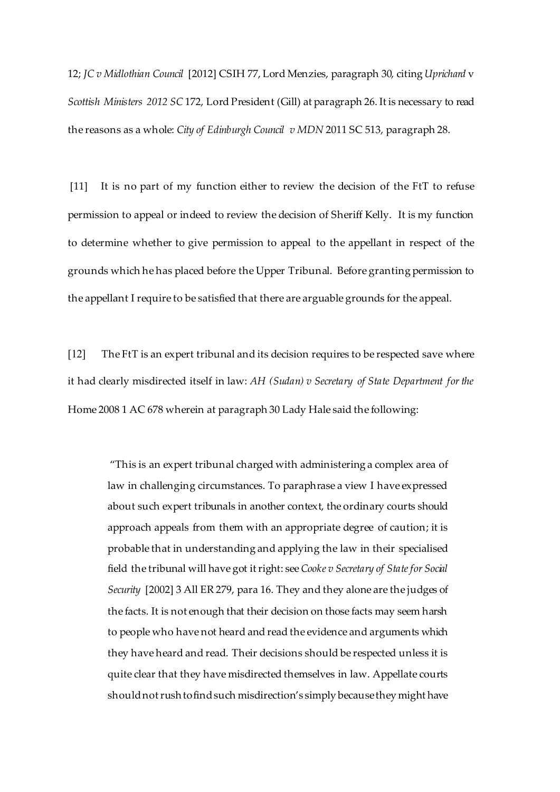12; *JC v Midlothian Council* [2012] CSIH 77, Lord Menzies, paragraph 30, citing *Uprichard* v *Scottish Ministers 2012 SC* 172, Lord President (Gill) at paragraph 26. It is necessary to read the reasons as a whole: *City of Edinburgh Council v MDN* 2011 SC 513, paragraph 28.

[11] It is no part of my function either to review the decision of the FtT to refuse permission to appeal or indeed to review the decision of Sheriff Kelly. It is my function to determine whether to give permission to appeal to the appellant in respect of the grounds which he has placed before the Upper Tribunal. Before granting permission to the appellant I require to be satisfied that there are arguable grounds for the appeal.

[12] The FtT is an expert tribunal and its decision requires to be respected save where it had clearly misdirected itself in law: *AH (Sudan) v Secretary of State Department for the* Home 2008 1 AC 678 wherein at paragraph 30 Lady Hale said the following:

"This is an expert tribunal charged with administering a complex area of law in challenging circumstances. To paraphrase a view I have expressed about such expert tribunals in another context, the ordinary courts should approach appeals from them with an appropriate degree of caution; it is probable that in understanding and applying the law in their specialised field the tribunal will have got it right: see *Cooke v Secretary of Statefor Social Security* [2002] 3 All ER 279, para 16. They and they alone are the judges of the facts. It is not enough that their decision on those facts may seem harsh to people who have not heard and read the evidence and arguments which they have heard and read. Their decisions should be respected unless it is quite clear that they have misdirected themselves in law. Appellate courts should not rush to find such misdirection's simply because they might have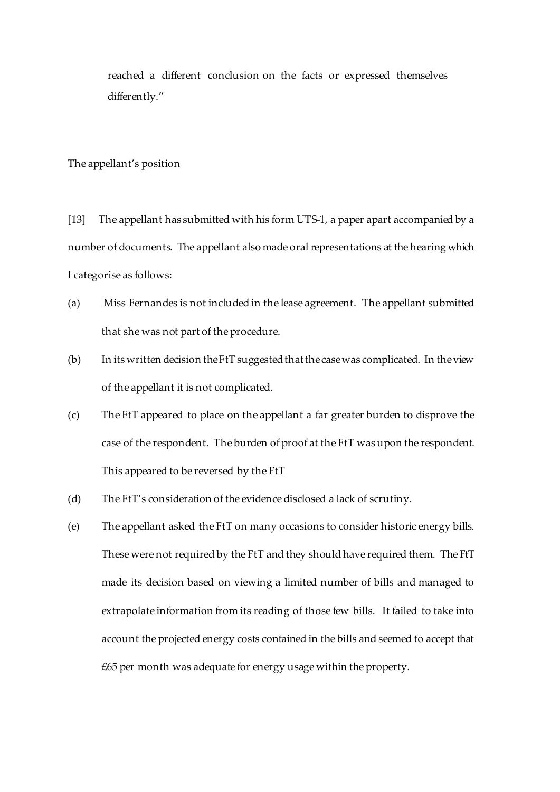reached a different conclusion on the facts or expressed themselves differently."

### The appellant's position

[13] The appellant has submitted with his form UTS-1, a paper apart accompanied by a number of documents. The appellant also made oral representations at the hearing which I categorise as follows:

- (a) Miss Fernandes is not included in the lease agreement. The appellant submitted that she was not part of the procedure.
- (b) In its written decision the FtT suggested that the case was complicated. In the view of the appellant it is not complicated.
- (c) The FtT appeared to place on the appellant a far greater burden to disprove the case of the respondent. The burden of proof at the FtT was upon the respondent. This appeared to be reversed by the FtT
- (d) The FtT's consideration of the evidence disclosed a lack of scrutiny.
- (e) The appellant asked the FtT on many occasions to consider historic energy bills. These were not required by the FtT and they should have required them. The FtT made its decision based on viewing a limited number of bills and managed to extrapolate information from its reading of those few bills. It failed to take into account the projected energy costs contained in the bills and seemed to accept that £65 per month was adequate for energy usage within the property.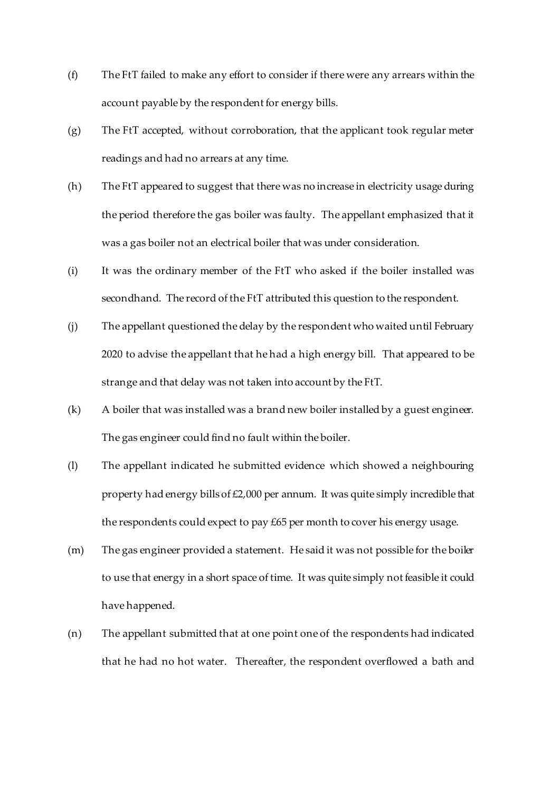- (f) The FtT failed to make any effort to consider if there were any arrears within the account payable by the respondent for energy bills.
- (g) The FtT accepted, without corroboration, that the applicant took regular meter readings and had no arrears at any time.
- (h) The FtT appeared to suggest that there was no increase in electricity usage during the period therefore the gas boiler was faulty. The appellant emphasized that it was a gas boiler not an electrical boiler that was under consideration.
- (i) It was the ordinary member of the FtT who asked if the boiler installed was secondhand. The record of the FtT attributed this question to the respondent.
- (j) The appellant questioned the delay by the respondent who waited until February 2020 to advise the appellant that he had a high energy bill. That appeared to be strange and that delay was not taken into account by the FtT.
- (k) A boiler that was installed was a brand new boiler installed by a guest engineer. The gas engineer could find no fault within the boiler.
- (l) The appellant indicated he submitted evidence which showed a neighbouring property had energy bills of £2,000 per annum. It was quite simply incredible that the respondents could expect to pay £65 per month to cover his energy usage.
- (m) The gas engineer provided a statement. He said it was not possible for the boiler to use that energy in a short space of time. It was quite simply not feasible it could have happened.
- (n) The appellant submitted that at one point one of the respondents had indicated that he had no hot water. Thereafter, the respondent overflowed a bath and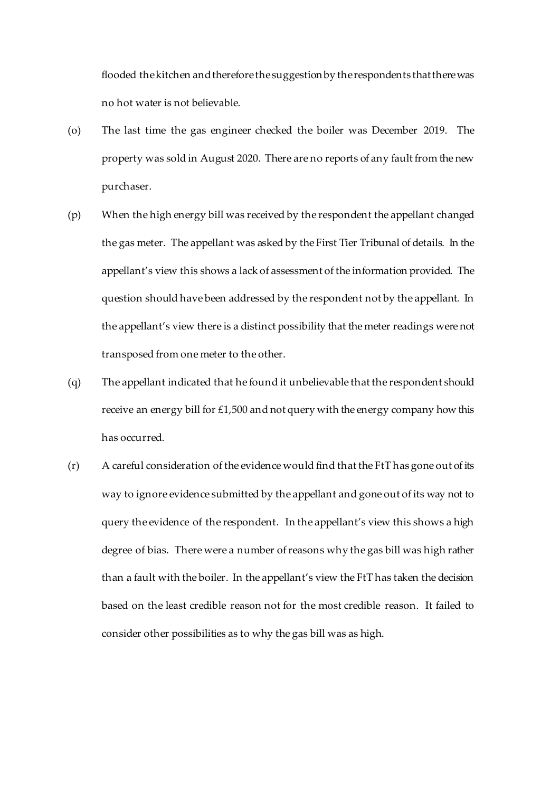flooded the kitchen and therefore the suggestionby the respondents that there was no hot water is not believable.

- (o) The last time the gas engineer checked the boiler was December 2019. The property was sold in August 2020. There are no reports of any fault from the new purchaser.
- (p) When the high energy bill was received by the respondent the appellant changed the gas meter. The appellant was asked by the First Tier Tribunal of details. In the appellant's view this shows a lack of assessment of the information provided. The question should have been addressed by the respondent not by the appellant. In the appellant's view there is a distinct possibility that the meter readings were not transposed from one meter to the other.
- (q) The appellant indicated that he found it unbelievable that the respondent should receive an energy bill for £1,500 and not query with the energy company how this has occurred.
- (r) A careful consideration of the evidence would find that the FtT has gone out of its way to ignore evidence submitted by the appellant and gone out of its way not to query the evidence of the respondent. In the appellant's view this shows a high degree of bias. There were a number of reasons why the gas bill was high rather than a fault with the boiler. In the appellant's view the FtT has taken the decision based on the least credible reason not for the most credible reason. It failed to consider other possibilities as to why the gas bill was as high.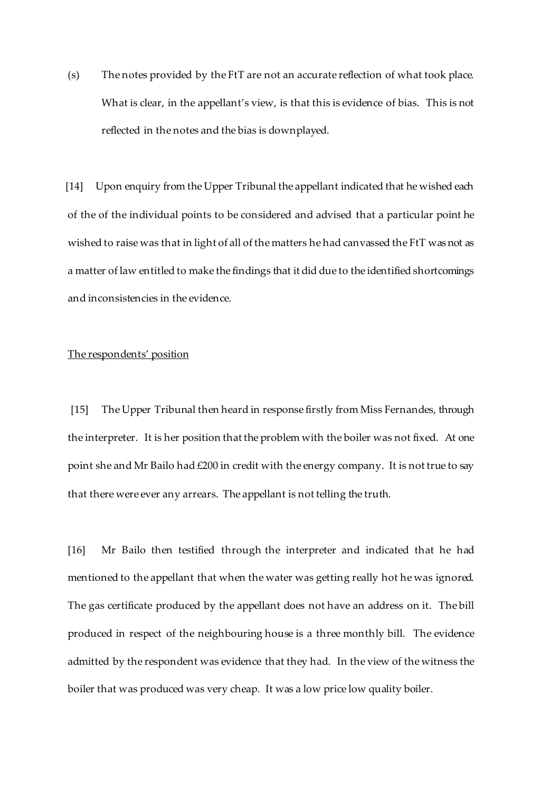(s) The notes provided by the FtT are not an accurate reflection of what took place. What is clear, in the appellant's view, is that this is evidence of bias. This is not reflected in the notes and the bias is downplayed.

 [14] Upon enquiry from the Upper Tribunal the appellant indicated that he wished each of the of the individual points to be considered and advised that a particular point he wished to raise was that in light of all of the matters he had canvassed the FtT was not as a matter of law entitled to make the findings that it did due to the identified shortcomings and inconsistencies in the evidence.

# The respondents' position

 [15] The Upper Tribunal then heard in response firstly from Miss Fernandes, through the interpreter. It is her position that the problem with the boiler was not fixed. At one point she and Mr Bailo had £200 in credit with the energy company. It is not true to say that there were ever any arrears. The appellant is not telling the truth.

[16] Mr Bailo then testified through the interpreter and indicated that he had mentioned to the appellant that when the water was getting really hot he was ignored. The gas certificate produced by the appellant does not have an address on it. The bill produced in respect of the neighbouring house is a three monthly bill. The evidence admitted by the respondent was evidence that they had. In the view of the witness the boiler that was produced was very cheap. It was a low price low quality boiler.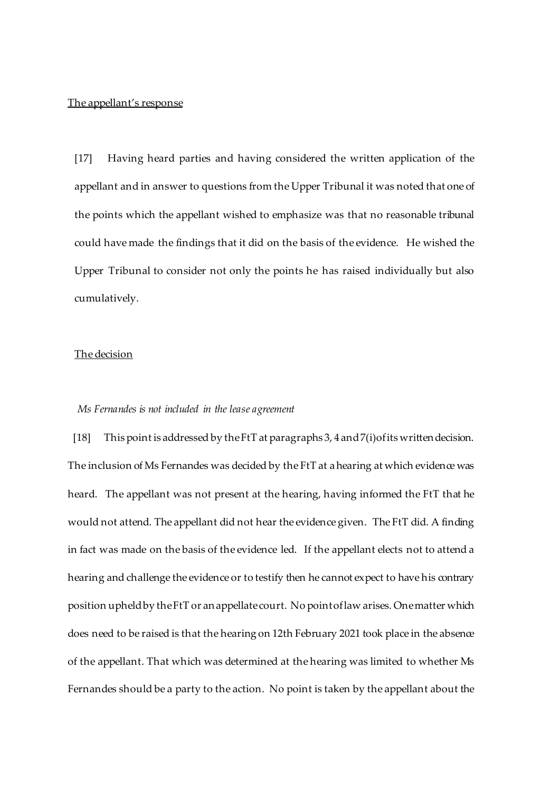#### The appellant's response

[17] Having heard parties and having considered the written application of the appellant and in answer to questions from the Upper Tribunal it was noted that one of the points which the appellant wished to emphasize was that no reasonable tribunal could have made the findings that it did on the basis of the evidence. He wished the Upper Tribunal to consider not only the points he has raised individually but also cumulatively.

## The decision

### *Ms Fernandes is not included in the lease agreement*

[18] This point is addressed by the FtT at paragraphs 3, 4 and 7(i) of its written decision. The inclusion of Ms Fernandes was decided by the FtT at a hearing at which evidence was heard. The appellant was not present at the hearing, having informed the FtT that he would not attend. The appellant did not hear the evidence given. The FtT did. A finding in fact was made on the basis of the evidence led. If the appellant elects not to attend a hearing and challenge the evidence or to testify then he cannot expect to have his contrary position upheld by the FtT or an appellate court. No point of law arises. One matter which does need to be raised is that the hearing on 12th February 2021 took place in the absence of the appellant. That which was determined at the hearing was limited to whether Ms Fernandes should be a party to the action. No point is taken by the appellant about the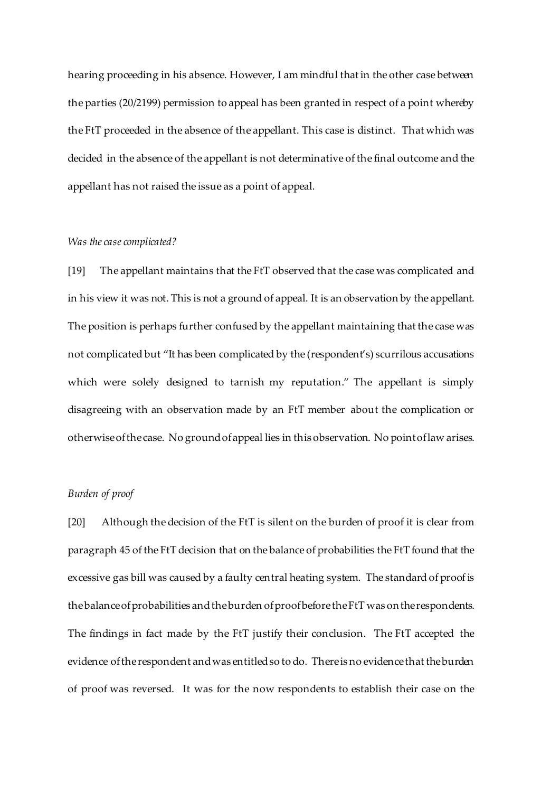hearing proceeding in his absence. However, I am mindful that in the other case between the parties (20/2199) permission to appeal has been granted in respect of a point whereby the FtT proceeded in the absence of the appellant. This case is distinct. That which was decided in the absence of the appellant is not determinative of the final outcome and the appellant has not raised the issue as a point of appeal.

## *Was the case complicated?*

[19] The appellant maintains that the FtT observed that the case was complicated and in his view it was not. This is not a ground of appeal. It is an observation by the appellant. The position is perhaps further confused by the appellant maintaining that the case was not complicated but "It has been complicated by the (respondent's) scurrilous accusations which were solely designed to tarnish my reputation." The appellant is simply disagreeing with an observation made by an FtT member about the complication or otherwise of the case. No ground of appeal lies in this observation. No point of law arises.

## *Burden of proof*

[20] Although the decision of the FtT is silent on the burden of proof it is clear from paragraph 45 of the FtT decision that on the balance of probabilities the FtT found that the excessive gas bill was caused by a faulty central heating system. The standard of proof is the balance of probabilities and the burden of proof before the FtT was on the respondents. The findings in fact made by the FtT justify their conclusion. The FtT accepted the evidence of the respondent and was entitled so to do. There is no evidence that the burden of proof was reversed. It was for the now respondents to establish their case on the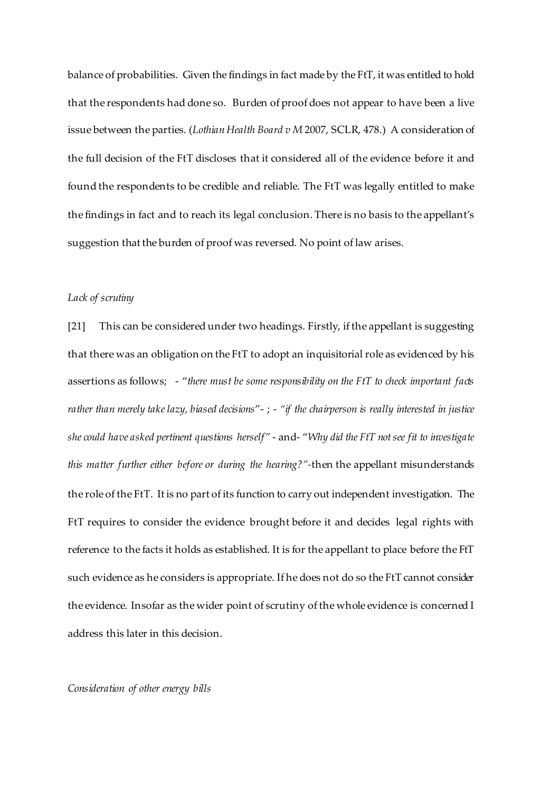balance of probabilities. Given the findings in fact made by the FtT, it was entitled to hold that the respondents had done so. Burden of proof does not appear to have been a live issue between the parties. (*Lothian Health Board v M* 2007, SCLR, 478.) A consideration of the full decision of the FtT discloses that it considered all of the evidence before it and found the respondents to be credible and reliable. The FtT was legally entitled to make the findings in fact and to reach its legal conclusion. There is no basis to the appellant's suggestion that the burden of proof was reversed. No point of law arises.

# *Lack of scrutiny*

[21] This can be considered under two headings. Firstly, if the appellant is suggesting that there was an obligation on the FtT to adopt an inquisitorial role as evidenced by his assertions as follows; - "*there must be some responsibility on the FtT to check important facts rather than merely take lazy, biased decisions*"- ; - *"if the chairperson is really interested in justice she could have asked pertinent questions herself"* - and- "*Why did the FtT not see fit to investigate this matter further either before or during the hearing?"-*then the appellant misunderstands the role of the FtT. It is no part of its function to carry out independent investigation. The FtT requires to consider the evidence brought before it and decides legal rights with reference to the facts it holds as established. It is for the appellant to place before the FtT such evidence as he considers is appropriate. If he does not do so the FtT cannot consider the evidence. Insofar as the wider point of scrutiny of the whole evidence is concerned I address this later in this decision.

## *Consideration of other energy bills*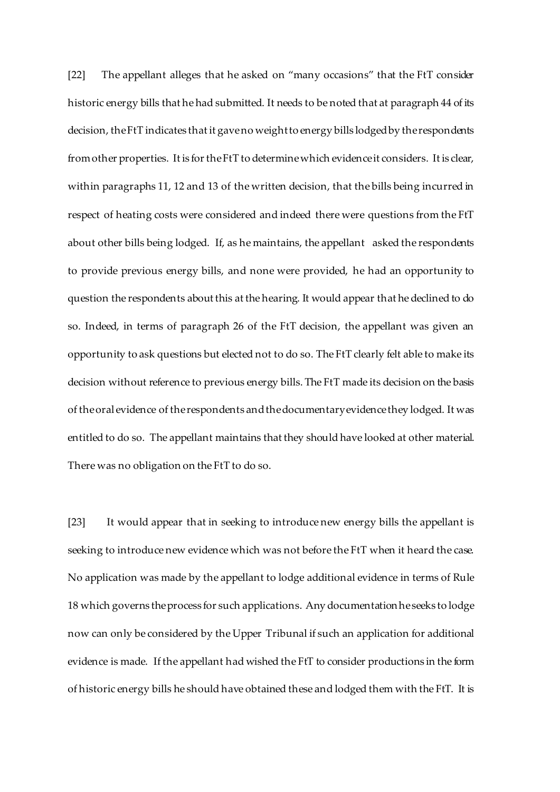[22] The appellant alleges that he asked on "many occasions" that the FtT consider historic energy bills that he had submitted. It needs to be noted that at paragraph 44 of its decision, the FtT indicates that it gave no weight to energy bills lodged by the respondents from other properties. It is for the FtT to determine which evidence it considers. It is clear, within paragraphs 11, 12 and 13 of the written decision, that the bills being incurred in respect of heating costs were considered and indeed there were questions from the FtT about other bills being lodged. If, as he maintains, the appellant asked the respondents to provide previous energy bills, and none were provided, he had an opportunity to question the respondents about this at the hearing. It would appear that he declined to do so. Indeed, in terms of paragraph 26 of the FtT decision, the appellant was given an opportunity to ask questions but elected not to do so. The FtT clearly felt able to make its decision without reference to previous energy bills. The FtT made its decision on the basis of the oral evidence of the respondents and the documentary evidence they lodged. It was entitled to do so. The appellant maintains that they should have looked at other material. There was no obligation on the FtT to do so.

[23] It would appear that in seeking to introduce new energy bills the appellant is seeking to introduce new evidence which was not before the FtT when it heard the case. No application was made by the appellant to lodge additional evidence in terms of Rule 18 which governs the process for such applications. Any documentation he seeks to lodge now can only be considered by the Upper Tribunal if such an application for additional evidence is made. If the appellant had wished the FtT to consider productions in the form of historic energy bills he should have obtained these and lodged them with the FtT. It is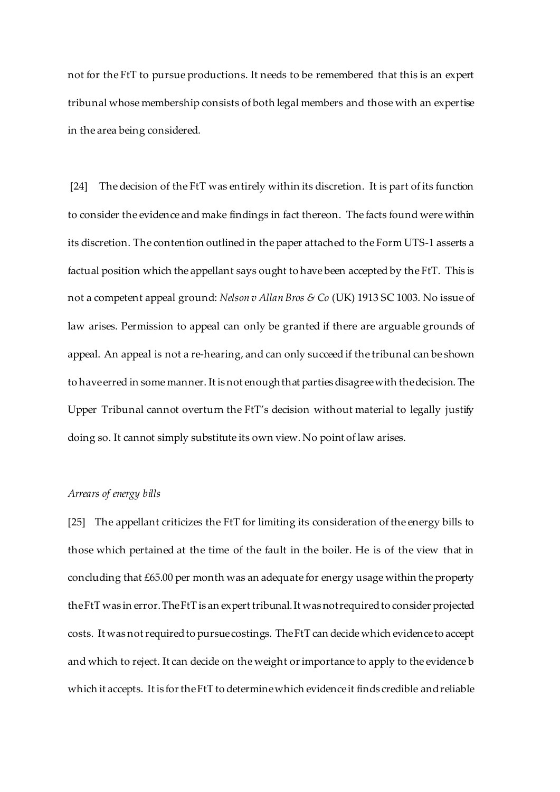not for the FtT to pursue productions. It needs to be remembered that this is an expert tribunal whose membership consists of both legal members and those with an expertise in the area being considered.

[24] The decision of the FtT was entirely within its discretion. It is part of its function to consider the evidence and make findings in fact thereon. The facts found were within its discretion. The contention outlined in the paper attached to the Form UTS-1 asserts a factual position which the appellant says ought to have been accepted by the FtT. This is not a competent appeal ground: *Nelson v Allan Bros & Co* (UK) 1913 SC 1003. No issue of law arises. Permission to appeal can only be granted if there are arguable grounds of appeal. An appeal is not a re-hearing, and can only succeed if the tribunal can be shown to have erred in some manner. It is not enough that parties disagree with the decision. The Upper Tribunal cannot overturn the FtT's decision without material to legally justify doing so. It cannot simply substitute its own view. No point of law arises.

#### *Arrears of energy bills*

[25] The appellant criticizes the FtT for limiting its consideration of the energy bills to those which pertained at the time of the fault in the boiler. He is of the view that in concluding that £65.00 per month was an adequate for energy usage within the property the FtT was in error. The FtT is an expert tribunal. It was not required to consider projected costs. It was not required to pursue costings. The FtT can decide which evidence to accept and which to reject. It can decide on the weight or importance to apply to the evidence b which it accepts. It is for the FtT to determine which evidence it finds credible and reliable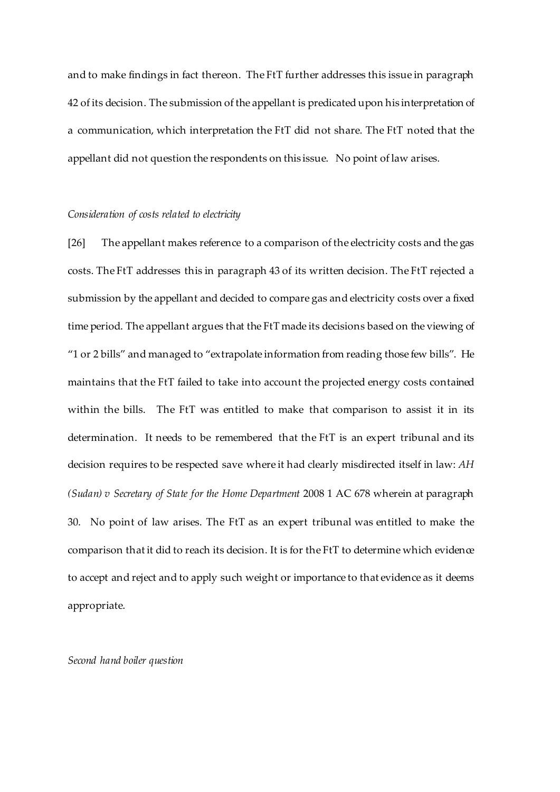and to make findings in fact thereon. The FtT further addresses this issue in paragraph 42 of its decision. The submission of the appellant is predicated upon his interpretation of a communication, which interpretation the FtT did not share. The FtT noted that the appellant did not question the respondents on this issue. No point of law arises.

### *Consideration of costs related to electricity*

[26] The appellant makes reference to a comparison of the electricity costs and the gas costs. The FtT addresses this in paragraph 43 of its written decision. The FtT rejected a submission by the appellant and decided to compare gas and electricity costs over a fixed time period. The appellant argues that the FtT made its decisions based on the viewing of "1 or 2 bills" and managed to "extrapolate information from reading those few bills". He maintains that the FtT failed to take into account the projected energy costs contained within the bills. The FtT was entitled to make that comparison to assist it in its determination. It needs to be remembered that the FtT is an expert tribunal and its decision requires to be respected save where it had clearly misdirected itself in law: *AH (Sudan) v Secretary of State for the Home Department* 2008 1 AC 678 wherein at paragraph 30. No point of law arises. The FtT as an expert tribunal was entitled to make the comparison that it did to reach its decision. It is for the FtT to determine which evidence to accept and reject and to apply such weight or importance to that evidence as it deems appropriate.

*Second hand boiler question*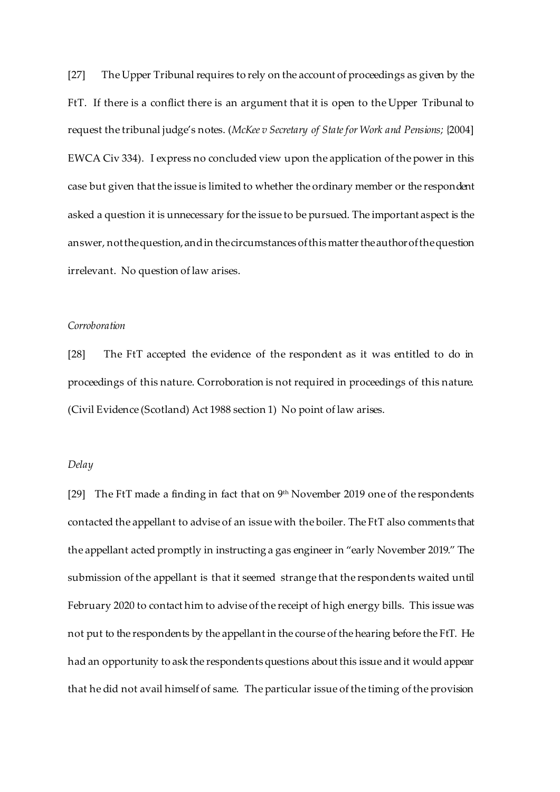[27] The Upper Tribunal requires to rely on the account of proceedings as given by the FtT. If there is a conflict there is an argument that it is open to the Upper Tribunal to request the tribunal judge's notes. (*McKee v Secretary of State for Work and Pensions;* {2004] EWCA Civ 334). I express no concluded view upon the application of the power in this case but given that the issue is limited to whether the ordinary member or the respondent asked a question it is unnecessary for the issue to be pursued. The important aspect is the answer, not the question,and in the circumstances of this matter the author of the question irrelevant. No question of law arises.

## *Corroboration*

[28] The FtT accepted the evidence of the respondent as it was entitled to do in proceedings of this nature. Corroboration is not required in proceedings of this nature. (Civil Evidence (Scotland) Act 1988 section 1) No point of law arises.

## *Delay*

[29] The FtT made a finding in fact that on 9<sup>th</sup> November 2019 one of the respondents contacted the appellant to advise of an issue with the boiler. The FtT also comments that the appellant acted promptly in instructing a gas engineer in "early November 2019." The submission of the appellant is that it seemed strange that the respondents waited until February 2020 to contact him to advise of the receipt of high energy bills. This issue was not put to the respondents by the appellant in the course of the hearing before the FtT. He had an opportunity to ask the respondents questions about this issue and it would appear that he did not avail himself of same. The particular issue of the timing of the provision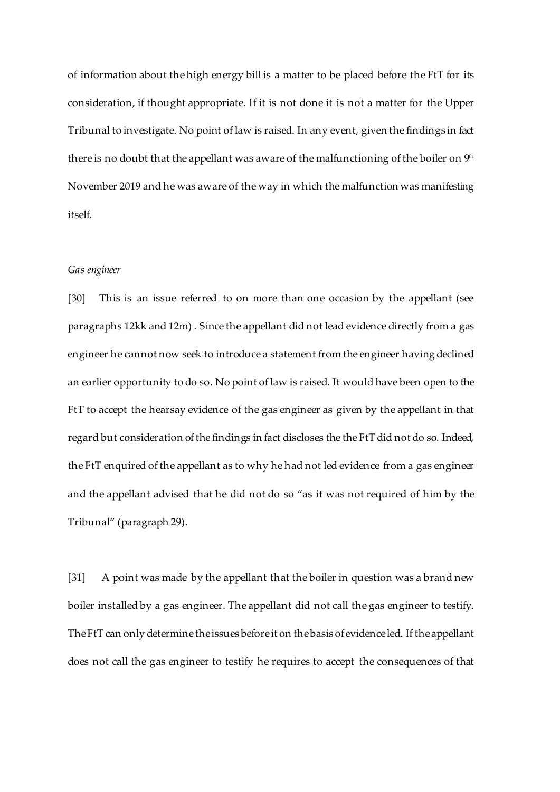of information about the high energy bill is a matter to be placed before the FtT for its consideration, if thought appropriate. If it is not done it is not a matter for the Upper Tribunal to investigate. No point of law is raised. In any event, given the findings in fact there is no doubt that the appellant was aware of the malfunctioning of the boiler on  $9<sup>th</sup>$ November 2019 and he was aware of the way in which the malfunction was manifesting itself.

## *Gas engineer*

[30] This is an issue referred to on more than one occasion by the appellant (see paragraphs 12kk and 12m) . Since the appellant did not lead evidence directly from a gas engineer he cannot now seek to introduce a statement from the engineer having declined an earlier opportunity to do so. No point of law is raised. It would have been open to the FtT to accept the hearsay evidence of the gas engineer as given by the appellant in that regard but consideration of the findings in fact discloses the the FtT did not do so. Indeed, the FtT enquired of the appellant as to why he had not led evidence from a gas engineer and the appellant advised that he did not do so "as it was not required of him by the Tribunal" (paragraph 29).

[31] A point was made by the appellant that the boiler in question was a brand new boiler installed by a gas engineer. The appellant did not call the gas engineer to testify. The FtT can only determine the issues before it on the basis of evidence led. If the appellant does not call the gas engineer to testify he requires to accept the consequences of that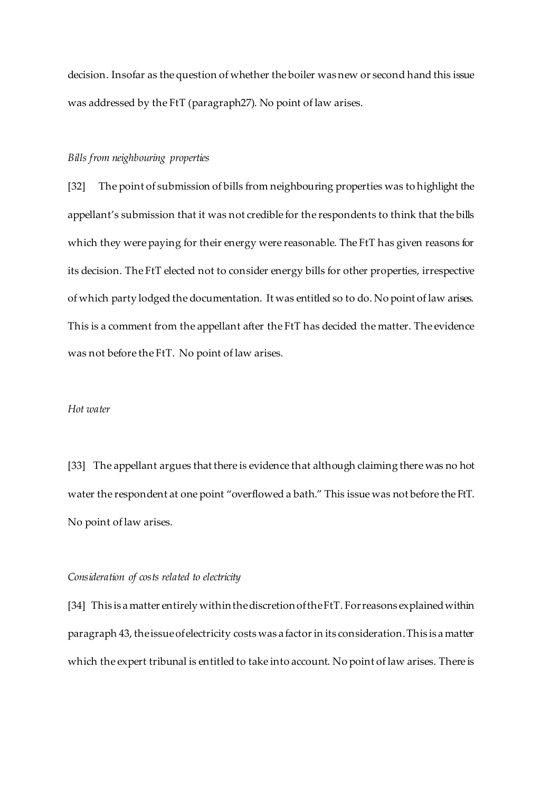decision. Insofar as the question of whether the boiler was new or second hand this issue was addressed by the FtT (paragraph27). No point of law arises.

#### *Bills from neighbouring properties*

[32]The point of submission of bills from neighbouring properties was to highlight the appellant's submission that it was not credible for the respondents to think that the bills which they were paying for their energy were reasonable. The FtT has given reasons for its decision. The FtT elected not to consider energy bills for other properties, irrespective of which party lodged the documentation. It was entitled so to do. No point of law arises. This is a comment from the appellant after the FtT has decided the matter. The evidence was not before the FtT. No point of law arises*.*

#### *Hot water*

[33] The appellant argues that there is evidence that although claiming there was no hot water the respondent at one point "overflowed a bath." This issue was not before the FtT. No point of law arises.

### *Consideration of costs related to electricity*

[34] This is a matter entirely within the discretion of the FtT. For reasons explained within paragraph 43, the issue of electricity costs was a factor in its consideration. This is a matter which the expert tribunal is entitled to take into account. No point of law arises. There is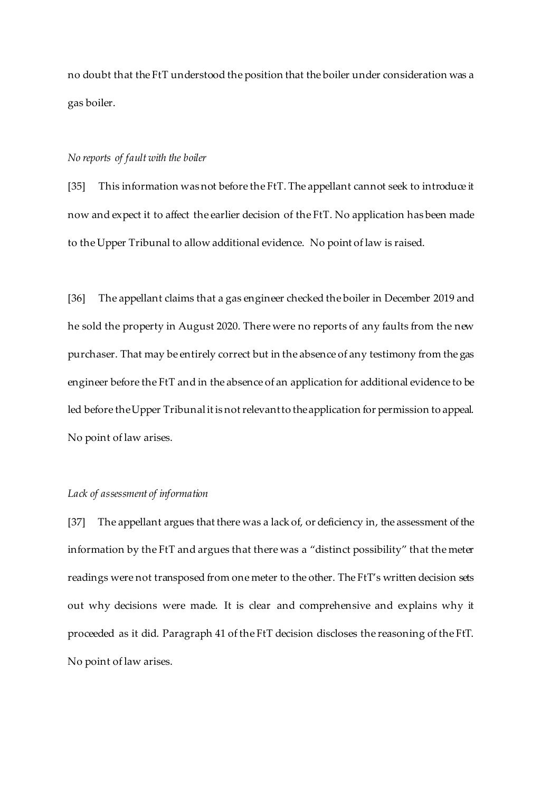no doubt that the FtT understood the position that the boiler under consideration was a gas boiler.

#### *No reports of fault with the boiler*

[35] This information was not before the FtT. The appellant cannot seek to introduce it now and expect it to affect the earlier decision of the FtT. No application has been made to the Upper Tribunal to allow additional evidence. No point of law is raised.

[36] The appellant claims that a gas engineer checked the boiler in December 2019 and he sold the property in August 2020. There were no reports of any faults from the new purchaser. That may be entirely correct but in the absence of any testimony from the gas engineer before the FtT and in the absence of an application for additional evidence to be led before the Upper Tribunal it is notrelevant to the application for permission to appeal. No point of law arises.

## *Lack of assessment of information*

[37] The appellant argues that there was a lack of, or deficiency in, the assessment of the information by the FtT and argues that there was a "distinct possibility" that the meter readings were not transposed from one meter to the other. The FtT's written decision sets out why decisions were made. It is clear and comprehensive and explains why it proceeded as it did. Paragraph 41 of the FtT decision discloses the reasoning of the FtT. No point of law arises.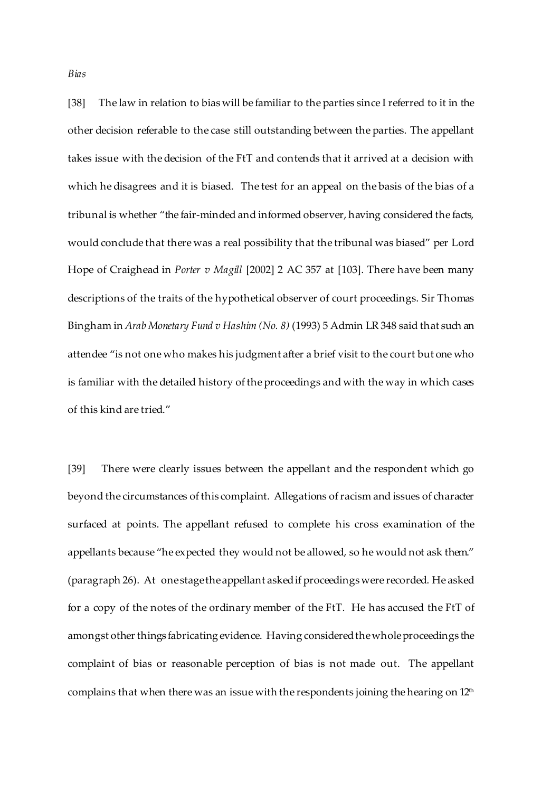*Bias*

[38] The law in relation to bias will be familiar to the parties since I referred to it in the other decision referable to the case still outstanding between the parties. The appellant takes issue with the decision of the FtT and contends that it arrived at a decision with which he disagrees and it is biased. The test for an appeal on the basis of the bias of a tribunal is whether "the fair-minded and informed observer, having considered the facts, would conclude that there was a real possibility that the tribunal was biased" per Lord Hope of Craighead in *Porter v Magill* [2002] 2 AC 357 at [103]. There have been many descriptions of the traits of the hypothetical observer of court proceedings. Sir Thomas Bingham in *Arab Monetary Fund v Hashim (No. 8)* (1993) 5 Admin LR 348 said that such an attendee "is not one who makes his judgment after a brief visit to the court but one who is familiar with the detailed history of the proceedings and with the way in which cases of this kind are tried."

[39] There were clearly issues between the appellant and the respondent which go beyond the circumstances of this complaint. Allegations of racism and issues of character surfaced at points. The appellant refused to complete his cross examination of the appellants because "he expected they would not be allowed, so he would not ask them." (paragraph 26). At one stage theappellant asked if proceedings were recorded. He asked for a copy of the notes of the ordinary member of the FtT. He has accused the FtT of amongst other things fabricating evidence. Having consideredthe whole proceedings the complaint of bias or reasonable perception of bias is not made out. The appellant complains that when there was an issue with the respondents joining the hearing on  $12<sup>th</sup>$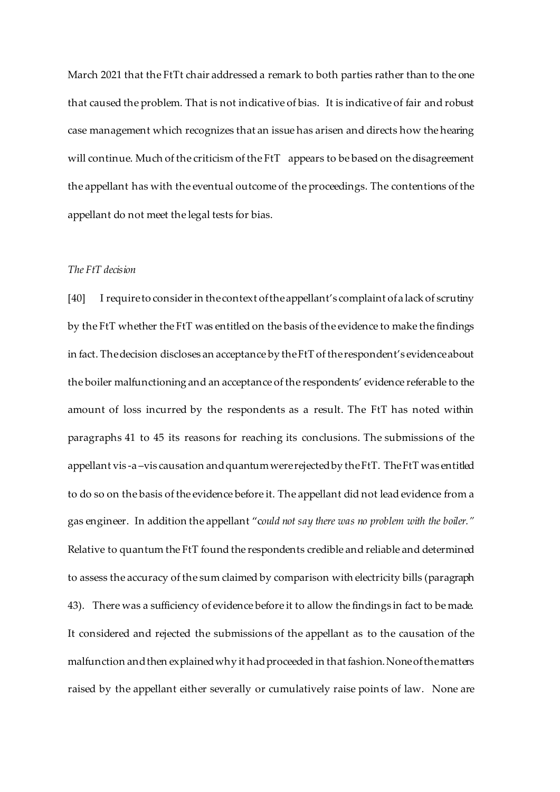March 2021 that the FtTt chair addressed a remark to both parties rather than to the one that caused the problem. That is not indicative of bias. It is indicative of fair and robust case management which recognizes that an issue has arisen and directs how the hearing will continue. Much of the criticism of the FtT appears to be based on the disagreement the appellant has with the eventual outcome of the proceedings. The contentions of the appellant do not meet the legal tests for bias.

## *The FtT decision*

[40] I require to consider in the context of the appellant's complaint of a lack of scrutiny by the FtT whether the FtT was entitled on the basis of the evidence to make the findings in fact. The decision discloses an acceptance by the FtT of the respondent's evidence about the boiler malfunctioning and an acceptance of the respondents' evidence referable to the amount of loss incurred by the respondents as a result. The FtT has noted within paragraphs 41 to 45 its reasons for reaching its conclusions. The submissions of the appellant vis -a –vis causation and quantum were rejectedby the FtT. The FtT was entitled to do so on the basis of the evidence before it. The appellant did not lead evidence from a gas engineer. In addition the appellant "c*ould not say there was no problem with the boiler."* Relative to quantum the FtT found the respondents credible and reliable and determined to assess the accuracy of the sum claimed by comparison with electricity bills (paragraph 43). There was a sufficiency of evidence before it to allow the findings in fact to be made. It considered and rejected the submissions of the appellant as to the causation of the malfunction and then explained why it had proceeded in that fashion. None of the matters raised by the appellant either severally or cumulatively raise points of law. None are